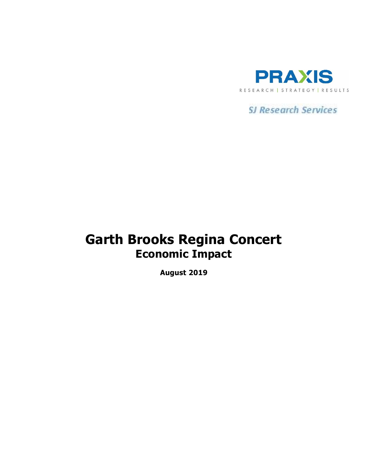

**SJ Research Services** 

# **Garth Brooks Regina Concert Economic Impact**

**August 2019**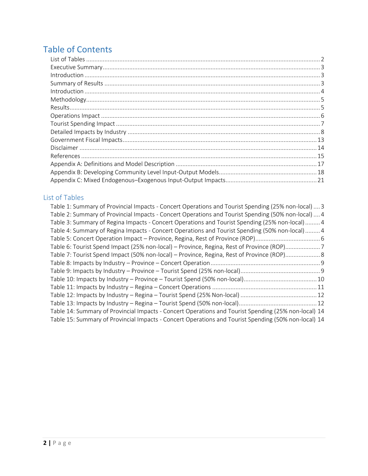# Table of Contents

## <span id="page-1-0"></span>List of Tables

| Table 1: Summary of Provincial Impacts - Concert Operations and Tourist Spending (25% non-local)  3  |
|------------------------------------------------------------------------------------------------------|
| Table 2: Summary of Provincial Impacts - Concert Operations and Tourist Spending (50% non-local)  4  |
| Table 3: Summary of Regina Impacts - Concert Operations and Tourist Spending (25% non-local) 4       |
| Table 4: Summary of Regina Impacts - Concert Operations and Tourist Spending (50% non-local) 4       |
|                                                                                                      |
| Table 6: Tourist Spend Impact (25% non-local) – Province, Regina, Rest of Province (ROP)7            |
| Table 7: Tourist Spend Impact (50% non-local) – Province, Regina, Rest of Province (ROP)8            |
|                                                                                                      |
|                                                                                                      |
|                                                                                                      |
|                                                                                                      |
|                                                                                                      |
|                                                                                                      |
| Table 14: Summary of Provincial Impacts - Concert Operations and Tourist Spending (25% non-local) 14 |
| Table 15: Summary of Provincial Impacts - Concert Operations and Tourist Spending (50% non-local) 14 |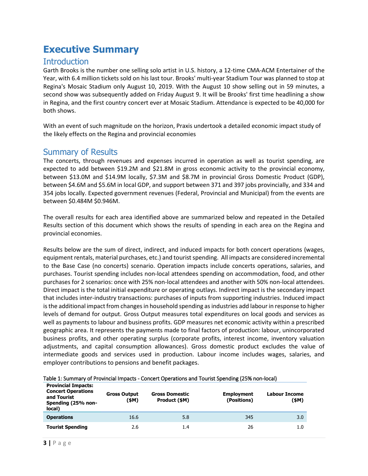# <span id="page-2-0"></span>**Executive Summary**

### <span id="page-2-1"></span>**Introduction**

Garth Brooks is the number one selling solo artist in U.S. history, a 12-time CMA-ACM Entertainer of the Year, with 6.4 million tickets sold on his last tour. Brooks' multi-year Stadium Tour was planned to stop at Regina's Mosaic Stadium only August 10, 2019. With the August 10 show selling out in 59 minutes, a second show was subsequently added on Friday August 9. It will be Brooks' first time headlining a show in Regina, and the first country concert ever at Mosaic Stadium. Attendance is expected to be 40,000 for both shows.

With an event of such magnitude on the horizon, Praxis undertook a detailed economic impact study of the likely effects on the Regina and provincial economies

## <span id="page-2-2"></span>Summary of Results

The concerts, through revenues and expenses incurred in operation as well as tourist spending, are expected to add between \$19.2M and \$21.8M in gross economic activity to the provincial economy, between \$13.0M and \$14.9M locally, \$7.3M and \$8.7M in provincial Gross Domestic Product (GDP), between \$4.6M and \$5.6M in local GDP, and support between 371 and 397 jobs provincially, and 334 and 354 jobs locally. Expected government revenues (Federal, Provincial and Municipal) from the events are between \$0.484M \$0.946M.

The overall results for each area identified above are summarized below and repeated in the Detailed Results section of this document which shows the results of spending in each area on the Regina and provincial economies.

Results below are the sum of direct, indirect, and induced impacts for both concert operations (wages, equipment rentals, material purchases, etc.) and tourist spending. All impacts are considered incremental to the Base Case (no concerts) scenario. Operation impacts include concerts operations, salaries, and purchases. Tourist spending includes non-local attendees spending on accommodation, food, and other purchases for 2 scenarios: once with 25% non-local attendees and another with 50% non-local attendees. Direct impact is the total initial expenditure or operating outlays. Indirect impact is the secondary impact that includes inter-industry transactions: purchases of inputs from supporting industries. Induced impact is the additional impact from changes in household spending as industries add labour in response to higher levels of demand for output. Gross Output measures total expenditures on local goods and services as well as payments to labour and business profits. GDP measures net economic activity within a prescribed geographic area. It represents the payments made to final factors of production: labour, unincorporated business profits, and other operating surplus (corporate profits, interest income, inventory valuation adjustments, and capital consumption allowances). Gross domestic product excludes the value of intermediate goods and services used in production. Labour income includes wages, salaries, and employer contributions to pensions and benefit packages.

| <b>Provincial Impacts:</b><br><b>Concert Operations</b><br>and Tourist<br>Spending (25% non-<br>local) | <b>Gross Output</b><br>(\$M) | <b>Gross Domestic</b><br>Product (\$M) | <b>Employment</b><br>(Positions) | Labour Income<br>(\$M) |
|--------------------------------------------------------------------------------------------------------|------------------------------|----------------------------------------|----------------------------------|------------------------|
| <b>Operations</b>                                                                                      | 16.6                         | 5.8                                    | 345                              | 3.0                    |
| <b>Tourist Spending</b>                                                                                | 2.6                          | 1.4                                    | 26                               | 1.0                    |

| Table 1: Summary of Provincial Impacts - Concert Operations and Tourist Spending (25% non-local) |  |
|--------------------------------------------------------------------------------------------------|--|
|--------------------------------------------------------------------------------------------------|--|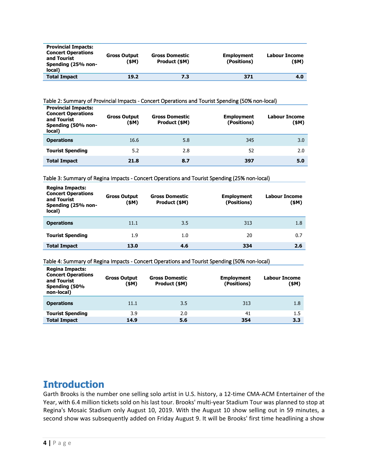| <b>Provincial Impacts:</b><br><b>Concert Operations</b><br>and Tourist<br>Spending (25% non-<br>local) | <b>Gross Output</b><br>(\$M) | <b>Gross Domestic</b><br>Product (\$M) | <b>Employment</b><br>(Positions) | Labour Income<br>(\$M) |
|--------------------------------------------------------------------------------------------------------|------------------------------|----------------------------------------|----------------------------------|------------------------|
| <b>Total Impact</b>                                                                                    | 19.2                         | 7.3                                    | 371                              | 4.0                    |

#### Table 2: Summary of Provincial Impacts - Concert Operations and Tourist Spending (50% non-local)

| <b>Provincial Impacts:</b><br><b>Concert Operations</b><br>and Tourist<br>Spending (50% non-<br>local) | <b>Gross Output</b><br>(\$M) | <b>Gross Domestic</b><br>Product (\$M) | <b>Employment</b><br>(Positions) | Labour Income<br>(\$M) |
|--------------------------------------------------------------------------------------------------------|------------------------------|----------------------------------------|----------------------------------|------------------------|
| <b>Operations</b>                                                                                      | 16.6                         | 5.8                                    | 345                              | 3.0                    |
| <b>Tourist Spending</b>                                                                                | 5.2                          | 2.8                                    | 52                               | 2.0                    |
| <b>Total Impact</b>                                                                                    | 21.8                         | 8.7                                    | 397                              | 5.0                    |

#### Table 3: Summary of Regina Impacts - Concert Operations and Tourist Spending (25% non-local)

| <b>Regina Impacts:</b><br><b>Concert Operations</b><br>and Tourist<br>Spending (25% non-<br>local) | <b>Gross Output</b><br>(\$M) | <b>Gross Domestic</b><br>Product (\$M) | <b>Employment</b><br>(Positions) | Labour Income<br>(\$M) |
|----------------------------------------------------------------------------------------------------|------------------------------|----------------------------------------|----------------------------------|------------------------|
| <b>Operations</b>                                                                                  | 11.1                         | 3.5                                    | 313                              | 1.8                    |
| <b>Tourist Spending</b>                                                                            | 1.9                          | 1.0                                    | 20                               | 0.7                    |
| <b>Total Impact</b>                                                                                | 13.0                         | 4.6                                    | 334                              | 2.6                    |

#### Table 4: Summary of Regina Impacts - Concert Operations and Tourist Spending (50% non-local)

| <b>Regina Impacts:</b><br><b>Concert Operations</b><br>and Tourist<br>Spending (50%<br>non-local) | <b>Gross Output</b><br>(\$M) | <b>Gross Domestic</b><br>Product (\$M) | <b>Employment</b><br>(Positions) | <b>Labour Income</b><br>(\$M) |
|---------------------------------------------------------------------------------------------------|------------------------------|----------------------------------------|----------------------------------|-------------------------------|
| <b>Operations</b>                                                                                 | 11.1                         | 3.5                                    | 313                              | 1.8                           |
| <b>Tourist Spending</b>                                                                           | 3.9                          | 2.0                                    | 41                               | $1.5\,$                       |
| <b>Total Impact</b>                                                                               | 14.9                         | 5.6                                    | 354                              | 3.3                           |

## <span id="page-3-0"></span>**Introduction**

Garth Brooks is the number one selling solo artist in U.S. history, a 12-time CMA-ACM Entertainer of the Year, with 6.4 million tickets sold on his last tour. Brooks' multi-year Stadium Tour was planned to stop at Regina's Mosaic Stadium only August 10, 2019. With the August 10 show selling out in 59 minutes, a second show was subsequently added on Friday August 9. It will be Brooks' first time headlining a show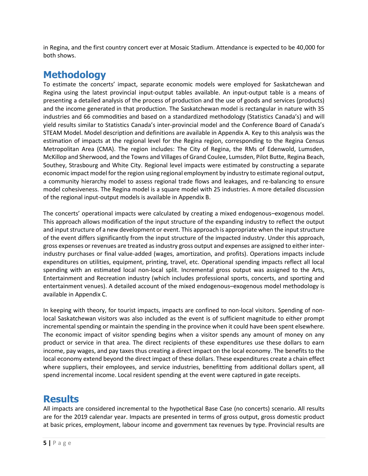in Regina, and the first country concert ever at Mosaic Stadium. Attendance is expected to be 40,000 for both shows.

## <span id="page-4-0"></span>**Methodology**

To estimate the concerts' impact, separate economic models were employed for Saskatchewan and Regina using the latest provincial input-output tables available. An input-output table is a means of presenting a detailed analysis of the process of production and the use of goods and services (products) and the income generated in that production. The Saskatchewan model is rectangular in nature with 35 industries and 66 commodities and based on a standardized methodology (Statistics Canada's) and will yield results similar to Statistics Canada's inter-provincial model and the Conference Board of Canada's STEAM Model. Model description and definitions are available in Appendix A. Key to this analysis was the estimation of impacts at the regional level for the Regina region, corresponding to the Regina Census Metropolitan Area (CMA). The region includes: The City of Regina, the RMs of Edenwold, Lumsden, McKillop and Sherwood, and the Towns and Villages of Grand Coulee, Lumsden, Pilot Butte, Regina Beach, Southey, Strasbourg and White City. Regional level impacts were estimated by constructing a separate economic impact model for the region using regional employment by industry to estimate regional output, a community hierarchy model to assess regional trade flows and leakages, and re-balancing to ensure model cohesiveness. The Regina model is a square model with 25 industries. A more detailed discussion of the regional input-output models is available in Appendix B.

The concerts' operational impacts were calculated by creating a mixed endogenous–exogenous model. This approach allows modification of the input structure of the expanding industry to reflect the output and input structure of a new development or event. This approach is appropriate when the input structure of the event differs significantly from the input structure of the impacted industry. Under this approach, gross expenses or revenues are treated as industry gross output and expenses are assigned to either interindustry purchases or final value-added (wages, amortization, and profits). Operations impacts include expenditures on utilities, equipment, printing, travel, etc. Operational spending impacts reflect all local spending with an estimated local non-local split. Incremental gross output was assigned to the Arts, Entertainment and Recreation industry (which includes professional sports, concerts, and sporting and entertainment venues). A detailed account of the mixed endogenous–exogenous model methodology is available in Appendix C.

In keeping with theory, for tourist impacts, impacts are confined to non-local visitors. Spending of nonlocal Saskatchewan visitors was also included as the event is of sufficient magnitude to either prompt incremental spending or maintain the spending in the province when it could have been spent elsewhere. The economic impact of visitor spending begins when a visitor spends any amount of money on any product or service in that area. The direct recipients of these expenditures use these dollars to earn income, pay wages, and pay taxes thus creating a direct impact on the local economy. The benefits to the local economy extend beyond the direct impact of these dollars. These expenditures create a chain effect where suppliers, their employees, and service industries, benefitting from additional dollars spent, all spend incremental income. Local resident spending at the event were captured in gate receipts.

## <span id="page-4-1"></span>**Results**

All impacts are considered incremental to the hypothetical Base Case (no concerts) scenario. All results are for the 2019 calendar year. Impacts are presented in terms of gross output, gross domestic product at basic prices, employment, labour income and government tax revenues by type. Provincial results are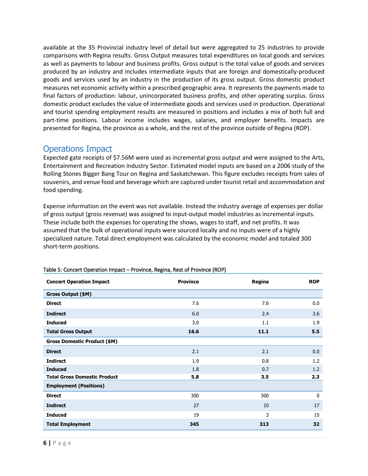available at the 35 Provincial industry level of detail but were aggregated to 25 industries to provide comparisons with Regina results. Gross Output measures total expenditures on local goods and services as well as payments to labour and business profits. Gross output is the total value of goods and services produced by an industry and includes intermediate inputs that are foreign and domestically-produced goods and services used by an industry in the production of its gross output. Gross domestic product measures net economic activity within a prescribed geographic area. It represents the payments made to final factors of production: labour, unincorporated business profits, and other operating surplus. Gross domestic product excludes the value of intermediate goods and services used in production. Operational and tourist spending employment results are measured in positions and includes a mix of both full and part-time positions. Labour income includes wages, salaries, and employer benefits. Impacts are presented for Regina, the province as a whole, and the rest of the province outside of Regina (ROP).

## <span id="page-5-0"></span>Operations Impact

Expected gate receipts of \$7.56M were used as incremental gross output and were assigned to the Arts, Entertainment and Recreation industry Sector. Estimated model inputs are based on a 2006 study of the Rolling Stones Bigger Bang Tour on Regina and Saskatchewan. This figure excludes receipts from sales of souvenirs, and venue food and beverage which are captured under tourist retail and accommodation and food spending.

Expense information on the event was not available. Instead the industry average of expenses per dollar of gross output (gross revenue) was assigned to input-output model industries as incremental inputs. These include both the expenses for operating the shows, wages to staff, and net profits. It was assumed that the bulk of operational inputs were sourced locally and no inputs were of a highly specialized nature. Total direct employment was calculated by the economic model and totaled 300 short-term positions.

| <b>Concert Operation Impact</b>     | <b>Province</b> | Regina | <b>ROP</b> |
|-------------------------------------|-----------------|--------|------------|
| Gross Output (\$M)                  |                 |        |            |
| <b>Direct</b>                       | 7.6             | 7.6    | 0.0        |
| <b>Indirect</b>                     | 6.0             | 2.4    | 3.6        |
| <b>Induced</b>                      | 3.0             | 1.1    | 1.9        |
| <b>Total Gross Output</b>           | 16.6            | 11.1   | 5.5        |
| <b>Gross Domestic Product (\$M)</b> |                 |        |            |
| <b>Direct</b>                       | 2.1             | 2.1    | 0.0        |
| <b>Indirect</b>                     | 1.9             | 0.8    | 1.2        |
| <b>Induced</b>                      | 1.8             | 0.7    | 1.2        |
| <b>Total Gross Domestic Product</b> | 5.8             | 3.5    | 2.3        |
| <b>Employment (Positions)</b>       |                 |        |            |
| <b>Direct</b>                       | 300             | 300    | 0          |
| <b>Indirect</b>                     | 27              | 10     | 17         |
| <b>Induced</b>                      | 19              | 3      | 15         |
| <b>Total Employment</b>             | 345             | 313    | 32         |

#### Table 5: Concert Operation Impact – Province, Regina, Rest of Province (ROP)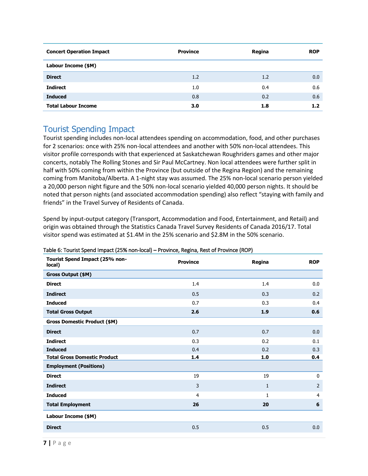| <b>Concert Operation Impact</b> | <b>Province</b> | Regina | <b>ROP</b> |
|---------------------------------|-----------------|--------|------------|
| Labour Income (\$M)             |                 |        |            |
| <b>Direct</b>                   | 1.2             | 1.2    | 0.0        |
| <b>Indirect</b>                 | 1.0             | 0.4    | 0.6        |
| <b>Induced</b>                  | 0.8             | 0.2    | 0.6        |
| <b>Total Labour Income</b>      | 3.0             | 1.8    | 1.2        |

## <span id="page-6-0"></span>Tourist Spending Impact

Tourist spending includes non-local attendees spending on accommodation, food, and other purchases for 2 scenarios: once with 25% non-local attendees and another with 50% non-local attendees. This visitor profile corresponds with that experienced at Saskatchewan Roughriders games and other major concerts, notably The Rolling Stones and Sir Paul McCartney. Non local attendees were further split in half with 50% coming from within the Province (but outside of the Regina Region) and the remaining coming from Manitoba/Alberta. A 1-night stay was assumed. The 25% non-local scenario person yielded a 20,000 person night figure and the 50% non-local scenario yielded 40,000 person nights. It should be noted that person nights (and associated accommodation spending) also reflect "staying with family and friends" in the Travel Survey of Residents of Canada.

Spend by input-output category (Transport, Accommodation and Food, Entertainment, and Retail) and origin was obtained through the Statistics Canada Travel Survey Residents of Canada 2016/17. Total visitor spend was estimated at \$1.4M in the 25% scenario and \$2.8M in the 50% scenario.

| Tourist Spend Impact (25% non-<br>local) | <b>Province</b> | Regina       | <b>ROP</b>     |
|------------------------------------------|-----------------|--------------|----------------|
| Gross Output (\$M)                       |                 |              |                |
| <b>Direct</b>                            | 1.4             | 1.4          | 0.0            |
| <b>Indirect</b>                          | 0.5             | 0.3          | 0.2            |
| <b>Induced</b>                           | 0.7             | 0.3          | 0.4            |
| <b>Total Gross Output</b>                | 2.6             | 1.9          | 0.6            |
| <b>Gross Domestic Product (\$M)</b>      |                 |              |                |
| <b>Direct</b>                            | 0.7             | 0.7          | 0.0            |
| <b>Indirect</b>                          | 0.3             | 0.2          | 0.1            |
| <b>Induced</b>                           | 0.4             | 0.2          | 0.3            |
| <b>Total Gross Domestic Product</b>      | 1.4             | 1.0          | 0.4            |
| <b>Employment (Positions)</b>            |                 |              |                |
| <b>Direct</b>                            | 19              | 19           | $\mathbf 0$    |
| <b>Indirect</b>                          | 3               | $\mathbf{1}$ | $\overline{2}$ |
| <b>Induced</b>                           | $\overline{4}$  | $\mathbf{1}$ | 4              |
| <b>Total Employment</b>                  | 26              | 20           | 6              |
| Labour Income (\$M)                      |                 |              |                |
| <b>Direct</b>                            | 0.5             | 0.5          | 0.0            |

#### Table 6: Tourist Spend Impact (25% non-local) – Province, Regina, Rest of Province (ROP)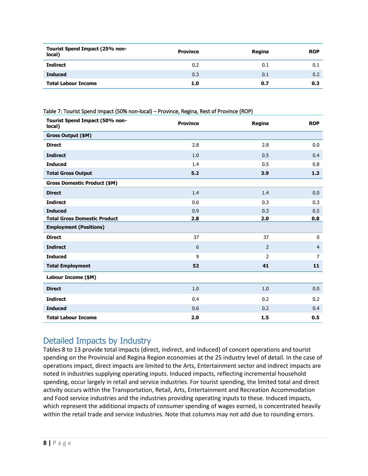| Tourist Spend Impact (25% non-<br>local) | <b>Province</b> | Regina | <b>ROP</b> |
|------------------------------------------|-----------------|--------|------------|
| Indirect                                 | 0.2             | 0.1    | 0.1        |
| <b>Induced</b>                           | 0.3             | 0.1    | 0.2        |
| <b>Total Labour Income</b>               | 1.0             | 0.7    | 0.3        |

Table 7: Tourist Spend Impact (50% non-local) – Province, Regina, Rest of Province (ROP)

| Tourist Spend Impact (50% non-<br>local) | <b>Province</b> | Regina         | <b>ROP</b>     |
|------------------------------------------|-----------------|----------------|----------------|
| Gross Output (\$M)                       |                 |                |                |
| <b>Direct</b>                            | 2.8             | 2.8            | 0.0            |
| <b>Indirect</b>                          | 1.0             | 0.5            | 0.4            |
| <b>Induced</b>                           | 1.4             | 0.5            | 0.8            |
| <b>Total Gross Output</b>                | 5.2             | 3.9            | 1.3            |
| <b>Gross Domestic Product (\$M)</b>      |                 |                |                |
| <b>Direct</b>                            | 1.4             | 1.4            | 0.0            |
| <b>Indirect</b>                          | 0.6             | 0.3            | 0.3            |
| <b>Induced</b>                           | 0.9             | 0.3            | 0.5            |
| <b>Total Gross Domestic Product</b>      | 2.8             | 2.0            | 0.8            |
| <b>Employment (Positions)</b>            |                 |                |                |
| <b>Direct</b>                            | 37              | 37             | $\pmb{0}$      |
| <b>Indirect</b>                          | 6               | $\overline{2}$ | $\overline{4}$ |
| <b>Induced</b>                           | 9               | $\overline{2}$ | 7              |
| <b>Total Employment</b>                  | 52              | 41             | 11             |
| Labour Income (\$M)                      |                 |                |                |
| <b>Direct</b>                            | 1.0             | 1.0            | 0.0            |
| <b>Indirect</b>                          | 0.4             | 0.2            | 0.2            |
| <b>Induced</b>                           | 0.6             | 0.2            | 0.4            |
| <b>Total Labour Income</b>               | 2.0             | 1.5            | 0.5            |

## <span id="page-7-0"></span>Detailed Impacts by Industry

Tables 8 to 13 provide total impacts (direct, indirect, and induced) of concert operations and tourist spending on the Provincial and Regina Region economies at the 25 industry level of detail. In the case of operations impact, direct impacts are limited to the Arts, Entertainment sector and indirect impacts are noted in industries supplying operating inputs. Induced impacts, reflecting incremental household spending, occur largely in retail and service industries. For tourist spending, the limited total and direct activity occurs within the Transportation, Retail, Arts, Entertainment and Recreation Accommodation and Food service industries and the industries providing operating inputs to these. Induced impacts, which represent the additional impacts of consumer spending of wages earned, is concentrated heavily within the retail trade and service industries. Note that columns may not add due to rounding errors.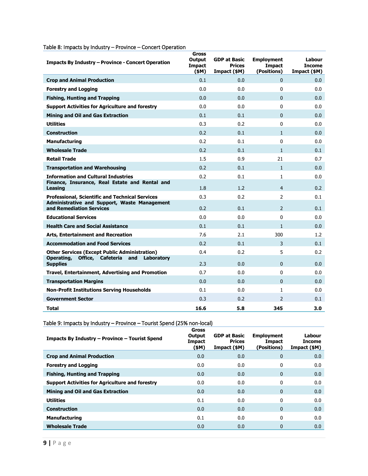| Impacts By Industry – Province - Concert Operation                              | <b>Gross</b><br>Output<br><b>Impact</b><br>(\$M) | <b>GDP at Basic</b><br><b>Prices</b><br>Impact (\$M) | <b>Employment</b><br><b>Impact</b><br>(Positions) | Labour<br><b>Income</b><br>Impact (\$M) |
|---------------------------------------------------------------------------------|--------------------------------------------------|------------------------------------------------------|---------------------------------------------------|-----------------------------------------|
| <b>Crop and Animal Production</b>                                               | 0.1                                              | 0.0                                                  | $\Omega$                                          | 0.0                                     |
| <b>Forestry and Logging</b>                                                     | 0.0                                              | 0.0                                                  | 0                                                 | 0.0                                     |
| <b>Fishing, Hunting and Trapping</b>                                            | 0.0                                              | 0.0                                                  | $\mathbf{0}$                                      | 0.0                                     |
| <b>Support Activities for Agriculture and forestry</b>                          | 0.0                                              | 0.0                                                  | 0                                                 | 0.0                                     |
| <b>Mining and Oil and Gas Extraction</b>                                        | 0.1                                              | 0.1                                                  | $\Omega$                                          | 0.0                                     |
| <b>Utilities</b>                                                                | 0.3                                              | 0.2                                                  | $\Omega$                                          | 0.0                                     |
| <b>Construction</b>                                                             | 0.2                                              | 0.1                                                  | $\mathbf{1}$                                      | 0.0                                     |
| <b>Manufacturing</b>                                                            | 0.2                                              | 0.1                                                  | $\Omega$                                          | 0.0                                     |
| <b>Wholesale Trade</b>                                                          | 0.2                                              | 0.1                                                  | $\mathbf{1}$                                      | 0.1                                     |
| <b>Retail Trade</b>                                                             | 1.5                                              | 0.9                                                  | 21                                                | 0.7                                     |
| <b>Transportation and Warehousing</b>                                           | 0.2                                              | 0.1                                                  | $\mathbf{1}$                                      | 0.0                                     |
| <b>Information and Cultural Industries</b>                                      | 0.2                                              | 0.1                                                  | $\mathbf{1}$                                      | 0.0                                     |
| Finance, Insurance, Real Estate and Rental and<br>Leasing                       | 1.8                                              | 1.2                                                  | $\overline{4}$                                    | 0.2                                     |
| <b>Professional, Scientific and Technical Services</b>                          | 0.3                                              | 0.2                                                  | $\mathcal{P}$                                     | 0.1                                     |
| <b>Administrative and Support, Waste Management</b><br>and Remediation Services | 0.2                                              | 0.1                                                  | $\mathcal{P}$                                     | 0.1                                     |
| <b>Educational Services</b>                                                     | 0.0                                              | 0.0                                                  | $\Omega$                                          | 0.0                                     |
| <b>Health Care and Social Assistance</b>                                        | 0.1                                              | 0.1                                                  | $\mathbf{1}$                                      | 0.0                                     |
| <b>Arts, Entertainment and Recreation</b>                                       | 7.6                                              | 2.1                                                  | 300                                               | 1.2                                     |
| <b>Accommodation and Food Services</b>                                          | 0.2                                              | 0.1                                                  | 3                                                 | 0.1                                     |
| <b>Other Services (Except Public Administration)</b>                            | 0.4                                              | 0.2                                                  | 5                                                 | 0.2                                     |
| Office, Cafeteria<br>Operating,<br>and<br>Laboratory<br><b>Supplies</b>         | 2.3                                              | 0.0                                                  | $\Omega$                                          | 0.0                                     |
| Travel, Entertainment, Advertising and Promotion                                | 0.7                                              | 0.0                                                  | 0                                                 | 0.0                                     |
| <b>Transportation Margins</b>                                                   | 0.0                                              | 0.0                                                  | $\Omega$                                          | 0.0                                     |
| <b>Non-Profit Institutions Serving Households</b>                               | 0.1                                              | 0.0                                                  | $\mathbf{1}$                                      | 0.0                                     |
| <b>Government Sector</b>                                                        | 0.3                                              | 0.2                                                  | $\mathcal{P}$                                     | 0.1                                     |
| <b>Total</b>                                                                    | 16.6                                             | 5.8                                                  | 345                                               | 3.0                                     |

### Table 8: Impacts by Industry – Province – Concert Operation

Table 9: Impacts by Industry – Province – Tourist Spend (25% non-local)

| Impacts By Industry - Province - Tourist Spend         | Gross<br>Output<br>Impact<br>(\$M) | <b>GDP at Basic</b><br><b>Prices</b><br>Impact (\$M) | <b>Employment</b><br>Impact<br>(Positions) | Labour<br><b>Income</b><br>Impact (\$M) |
|--------------------------------------------------------|------------------------------------|------------------------------------------------------|--------------------------------------------|-----------------------------------------|
| <b>Crop and Animal Production</b>                      | 0.0                                | 0.0                                                  | $\mathbf{0}$                               | 0.0                                     |
| <b>Forestry and Logging</b>                            | 0.0                                | 0.0                                                  | 0                                          | 0.0                                     |
| <b>Fishing, Hunting and Trapping</b>                   | 0.0                                | 0.0                                                  | $\mathbf{0}$                               | 0.0                                     |
| <b>Support Activities for Agriculture and forestry</b> | 0.0                                | 0.0                                                  | 0                                          | 0.0                                     |
| <b>Mining and Oil and Gas Extraction</b>               | 0.0                                | 0.0                                                  | $\mathbf{0}$                               | 0.0                                     |
| <b>Utilities</b>                                       | 0.1                                | 0.0                                                  | 0                                          | 0.0                                     |
| <b>Construction</b>                                    | 0.0                                | 0.0                                                  | $\mathbf{0}$                               | 0.0                                     |
| <b>Manufacturing</b>                                   | 0.1                                | 0.0                                                  | 0                                          | 0.0                                     |
| <b>Wholesale Trade</b>                                 | 0.0                                | 0.0                                                  | 0                                          | 0.0                                     |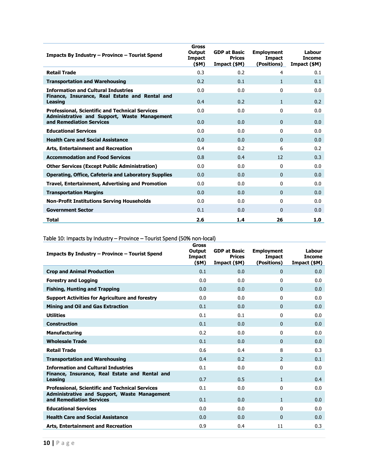| Impacts By Industry – Province – Tourist Spend                                  | <b>Gross</b><br>Output<br><b>Impact</b><br>(\$M) | <b>GDP at Basic</b><br><b>Prices</b><br>Impact (\$M) | <b>Employment</b><br><b>Impact</b><br>(Positions) | Labour<br><b>Income</b><br>Impact (\$M) |
|---------------------------------------------------------------------------------|--------------------------------------------------|------------------------------------------------------|---------------------------------------------------|-----------------------------------------|
| <b>Retail Trade</b>                                                             | 0.3                                              | 0.2                                                  | $\overline{4}$                                    | 0.1                                     |
| <b>Transportation and Warehousing</b>                                           | 0.2                                              | 0.1                                                  | $\mathbf{1}$                                      | 0.1                                     |
| <b>Information and Cultural Industries</b>                                      | 0.0                                              | 0.0                                                  | $\Omega$                                          | 0.0                                     |
| Finance, Insurance, Real Estate and Rental and<br><b>Leasing</b>                | 0.4                                              | 0.2                                                  | $\mathbf{1}$                                      | 0.2                                     |
| <b>Professional, Scientific and Technical Services</b>                          | 0.0                                              | 0.0                                                  | $\mathbf{0}$                                      | 0.0                                     |
| <b>Administrative and Support, Waste Management</b><br>and Remediation Services | 0.0                                              | 0.0                                                  | $\mathbf{0}$                                      | 0.0                                     |
| <b>Educational Services</b>                                                     | 0.0                                              | 0.0                                                  | $\Omega$                                          | 0.0                                     |
| <b>Health Care and Social Assistance</b>                                        | 0.0                                              | 0.0                                                  | $\Omega$                                          | 0.0                                     |
| <b>Arts, Entertainment and Recreation</b>                                       | 0.4                                              | 0.2                                                  | 6                                                 | 0.2                                     |
| <b>Accommodation and Food Services</b>                                          | 0.8                                              | 0.4                                                  | 12                                                | 0.3                                     |
| <b>Other Services (Except Public Administration)</b>                            | 0.0                                              | 0.0                                                  | $\Omega$                                          | 0.0                                     |
| <b>Operating, Office, Cafeteria and Laboratory Supplies</b>                     | 0.0                                              | 0.0                                                  | $\Omega$                                          | 0.0                                     |
| Travel, Entertainment, Advertising and Promotion                                | 0.0                                              | 0.0                                                  | $\Omega$                                          | 0.0                                     |
| <b>Transportation Margins</b>                                                   | 0.0                                              | 0.0                                                  | $\mathbf{0}$                                      | 0.0                                     |
| <b>Non-Profit Institutions Serving Households</b>                               | 0.0                                              | 0.0                                                  | $\mathbf{0}$                                      | 0.0                                     |
| <b>Government Sector</b>                                                        | 0.1                                              | 0.0                                                  | $\mathbf{0}$                                      | 0.0                                     |
| Total                                                                           | 2.6                                              | 1.4                                                  | 26                                                | 1.0                                     |

### Table 10: Impacts by Industry – Province – Tourist Spend (50% non-local)

| Impacts By Industry - Province - Tourist Spend                                  | <b>Gross</b><br>Output<br><b>Impact</b><br>(\$M) | <b>GDP at Basic</b><br><b>Prices</b><br>Impact (\$M) | <b>Employment</b><br><b>Impact</b><br>(Positions) | Labour<br><b>Income</b><br>Impact (\$M) |
|---------------------------------------------------------------------------------|--------------------------------------------------|------------------------------------------------------|---------------------------------------------------|-----------------------------------------|
| <b>Crop and Animal Production</b>                                               | 0.1                                              | 0.0                                                  | $\mathbf{0}$                                      | 0.0                                     |
| <b>Forestry and Logging</b>                                                     | 0.0                                              | 0.0                                                  | 0                                                 | 0.0                                     |
| <b>Fishing, Hunting and Trapping</b>                                            | 0.0                                              | 0.0                                                  | $\Omega$                                          | 0.0                                     |
| <b>Support Activities for Agriculture and forestry</b>                          | 0.0                                              | 0.0                                                  | 0                                                 | 0.0                                     |
| <b>Mining and Oil and Gas Extraction</b>                                        | 0.1                                              | 0.0                                                  | $\Omega$                                          | 0.0                                     |
| <b>Utilities</b>                                                                | 0.1                                              | 0.1                                                  | 0                                                 | 0.0                                     |
| <b>Construction</b>                                                             | 0.1                                              | 0.0                                                  | $\Omega$                                          | 0.0                                     |
| <b>Manufacturing</b>                                                            | 0.2                                              | 0.0                                                  | 0                                                 | 0.0                                     |
| <b>Wholesale Trade</b>                                                          | 0.1                                              | 0.0                                                  | $\Omega$                                          | 0.0                                     |
| <b>Retail Trade</b>                                                             | 0.6                                              | 0.4                                                  | 8                                                 | 0.3                                     |
| <b>Transportation and Warehousing</b>                                           | 0.4                                              | 0.2                                                  | $\overline{2}$                                    | 0.1                                     |
| <b>Information and Cultural Industries</b>                                      | 0.1                                              | 0.0                                                  | 0                                                 | 0.0                                     |
| Finance, Insurance, Real Estate and Rental and<br><b>Leasing</b>                | 0.7                                              | 0.5                                                  | $\mathbf{1}$                                      | 0.4                                     |
| <b>Professional, Scientific and Technical Services</b>                          | 0.1                                              | 0.0                                                  | 0                                                 | 0.0                                     |
| <b>Administrative and Support, Waste Management</b><br>and Remediation Services | 0.1                                              | 0.0                                                  | $\mathbf{1}$                                      | 0.0                                     |
| <b>Educational Services</b>                                                     | 0.0                                              | 0.0                                                  | $\Omega$                                          | 0.0                                     |
| <b>Health Care and Social Assistance</b>                                        | 0.0                                              | 0.0                                                  | 0                                                 | 0.0                                     |
| <b>Arts, Entertainment and Recreation</b>                                       | 0.9                                              | 0.4                                                  | 11                                                | 0.3                                     |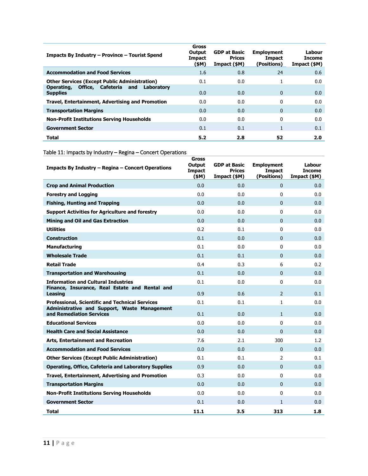| Impacts By Industry - Province - Tourist Spend                          | Gross<br>Output<br><b>Impact</b><br>(\$M) | <b>GDP at Basic</b><br><b>Prices</b><br>Impact (\$M) | <b>Employment</b><br>Impact<br>(Positions) | Labour<br>Income<br>Impact (\$M) |
|-------------------------------------------------------------------------|-------------------------------------------|------------------------------------------------------|--------------------------------------------|----------------------------------|
| <b>Accommodation and Food Services</b>                                  | 1.6                                       | 0.8                                                  | 24                                         | 0.6                              |
| <b>Other Services (Except Public Administration)</b>                    | 0.1                                       | 0.0                                                  |                                            | 0.0                              |
| Office, Cafeteria<br>and<br>Laboratory<br>Operating,<br><b>Supplies</b> | 0.0                                       | 0.0                                                  | $\mathbf{0}$                               | 0.0                              |
| Travel, Entertainment, Advertising and Promotion                        | 0.0                                       | 0.0                                                  | 0                                          | 0.0                              |
| <b>Transportation Margins</b>                                           | 0.0                                       | 0.0                                                  | $\Omega$                                   | 0.0                              |
| <b>Non-Profit Institutions Serving Households</b>                       | 0.0                                       | 0.0                                                  | 0                                          | 0.0                              |
| <b>Government Sector</b>                                                | 0.1                                       | 0.1                                                  |                                            | 0.1                              |
| Total                                                                   | 5.2                                       | 2.8                                                  | 52                                         | 2.0                              |

Table 11: Impacts by Industry – Regina – Concert Operations

| Impacts By Industry - Regina - Concert Operations                               | <b>Gross</b><br>Output<br><b>Impact</b><br>(\$M) | <b>GDP at Basic</b><br><b>Prices</b><br>Impact (\$M) | <b>Employment</b><br>Impact<br>(Positions) | Labour<br><b>Income</b><br>Impact (\$M) |
|---------------------------------------------------------------------------------|--------------------------------------------------|------------------------------------------------------|--------------------------------------------|-----------------------------------------|
| <b>Crop and Animal Production</b>                                               | 0.0                                              | 0.0                                                  | $\Omega$                                   | 0.0                                     |
| <b>Forestry and Logging</b>                                                     | 0.0                                              | 0.0                                                  | $\Omega$                                   | 0.0                                     |
| <b>Fishing, Hunting and Trapping</b>                                            | 0.0                                              | 0.0                                                  | $\mathbf{0}$                               | 0.0                                     |
| <b>Support Activities for Agriculture and forestry</b>                          | 0.0                                              | 0.0                                                  | $\Omega$                                   | 0.0                                     |
| <b>Mining and Oil and Gas Extraction</b>                                        | 0.0                                              | 0.0                                                  | $\Omega$                                   | 0.0                                     |
| <b>Utilities</b>                                                                | 0.2                                              | 0.1                                                  | $\Omega$                                   | 0.0                                     |
| <b>Construction</b>                                                             | 0.1                                              | 0.0                                                  | $\Omega$                                   | 0.0                                     |
| <b>Manufacturing</b>                                                            | 0.1                                              | 0.0                                                  | $\Omega$                                   | 0.0                                     |
| <b>Wholesale Trade</b>                                                          | 0.1                                              | 0.1                                                  | $\Omega$                                   | 0.0                                     |
| <b>Retail Trade</b>                                                             | 0.4                                              | 0.3                                                  | 6                                          | 0.2                                     |
| <b>Transportation and Warehousing</b>                                           | 0.1                                              | 0.0                                                  | $\Omega$                                   | 0.0                                     |
| <b>Information and Cultural Industries</b>                                      | 0.1                                              | 0.0                                                  | 0                                          | 0.0                                     |
| Finance, Insurance, Real Estate and Rental and<br><b>Leasing</b>                | 0.9                                              | 0.6                                                  | $\mathcal{P}$                              | 0.1                                     |
| <b>Professional, Scientific and Technical Services</b>                          | 0.1                                              | 0.1                                                  | $\mathbf{1}$                               | 0.0                                     |
| <b>Administrative and Support, Waste Management</b><br>and Remediation Services | 0.1                                              | 0.0                                                  | $\mathbf{1}$                               | 0.0                                     |
| <b>Educational Services</b>                                                     | 0.0                                              | 0.0                                                  | 0                                          | 0.0                                     |
| <b>Health Care and Social Assistance</b>                                        | 0.0                                              | 0.0                                                  | $\Omega$                                   | 0.0                                     |
| <b>Arts, Entertainment and Recreation</b>                                       | 7.6                                              | 2.1                                                  | 300                                        | 1.2                                     |
| <b>Accommodation and Food Services</b>                                          | 0.0                                              | 0.0                                                  | $\Omega$                                   | 0.0                                     |
| <b>Other Services (Except Public Administration)</b>                            | 0.1                                              | 0.1                                                  | $\overline{2}$                             | 0.1                                     |
| <b>Operating, Office, Cafeteria and Laboratory Supplies</b>                     | 0.9                                              | 0.0                                                  | $\Omega$                                   | 0.0                                     |
| Travel, Entertainment, Advertising and Promotion                                | 0.3                                              | 0.0                                                  | 0                                          | 0.0                                     |
| <b>Transportation Margins</b>                                                   | 0.0                                              | 0.0                                                  | $\Omega$                                   | 0.0                                     |
| <b>Non-Profit Institutions Serving Households</b>                               | 0.0                                              | 0.0                                                  | 0                                          | 0.0                                     |
| <b>Government Sector</b>                                                        | 0.1                                              | 0.0                                                  | $\mathbf{1}$                               | 0.0                                     |
| Total                                                                           | 11.1                                             | 3.5                                                  | 313                                        | 1.8                                     |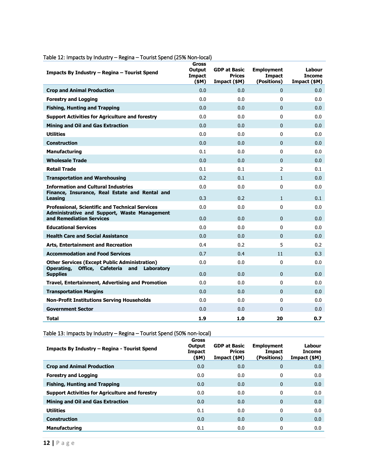| Impacts By Industry – Regina – Tourist Spend                             | Gross<br><b>Output</b><br><b>Impact</b><br>(SM) | <b>GDP at Basic</b><br><b>Prices</b><br>Impact (\$M) | <b>Employment</b><br><b>Impact</b><br>(Positions) | Labour<br><b>Income</b><br>Impact (\$M) |
|--------------------------------------------------------------------------|-------------------------------------------------|------------------------------------------------------|---------------------------------------------------|-----------------------------------------|
| <b>Crop and Animal Production</b>                                        | 0.0                                             | 0.0                                                  | $\Omega$                                          | 0.0                                     |
| <b>Forestry and Logging</b>                                              | 0.0                                             | 0.0                                                  | 0                                                 | 0.0                                     |
| <b>Fishing, Hunting and Trapping</b>                                     | 0.0                                             | 0.0                                                  | $\overline{0}$                                    | 0.0                                     |
| <b>Support Activities for Agriculture and forestry</b>                   | 0.0                                             | 0.0                                                  | 0                                                 | 0.0                                     |
| <b>Mining and Oil and Gas Extraction</b>                                 | 0.0                                             | 0.0                                                  | $\overline{0}$                                    | 0.0                                     |
| <b>Utilities</b>                                                         | 0.0                                             | 0.0                                                  | 0                                                 | 0.0                                     |
| Construction                                                             | 0.0                                             | 0.0                                                  | $\Omega$                                          | 0.0                                     |
| <b>Manufacturing</b>                                                     | 0.1                                             | 0.0                                                  | 0                                                 | 0.0                                     |
| <b>Wholesale Trade</b>                                                   | 0.0                                             | 0.0                                                  | $\Omega$                                          | 0.0                                     |
| <b>Retail Trade</b>                                                      | 0.1                                             | 0.1                                                  | $\overline{2}$                                    | 0.1                                     |
| <b>Transportation and Warehousing</b>                                    | 0.2                                             | 0.1                                                  | $\mathbf{1}$                                      | 0.0                                     |
| <b>Information and Cultural Industries</b>                               | 0.0                                             | 0.0                                                  | 0                                                 | 0.0                                     |
| Finance, Insurance, Real Estate and Rental and<br>Leasing                | 0.3                                             | 0.2                                                  | $\mathbf{1}$                                      | 0.1                                     |
| <b>Professional, Scientific and Technical Services</b>                   | 0.0                                             | 0.0                                                  | 0                                                 | 0.0                                     |
| Administrative and Support, Waste Management<br>and Remediation Services | 0.0                                             | 0.0                                                  | $\Omega$                                          | 0.0                                     |
| <b>Educational Services</b>                                              | 0.0                                             | 0.0                                                  | 0                                                 | 0.0                                     |
| <b>Health Care and Social Assistance</b>                                 | 0.0                                             | 0.0                                                  | $\Omega$                                          | 0.0                                     |
| <b>Arts, Entertainment and Recreation</b>                                | 0.4                                             | 0.2                                                  | 5                                                 | 0.2                                     |
| <b>Accommodation and Food Services</b>                                   | 0.7                                             | 0.4                                                  | 11                                                | 0.3                                     |
| <b>Other Services (Except Public Administration)</b>                     | 0.0                                             | 0.0                                                  | 0                                                 | 0.0                                     |
| Operating,<br>Office, Cafeteria<br>and<br>Laboratory<br><b>Supplies</b>  | 0.0                                             | 0.0                                                  | $\overline{0}$                                    | 0.0                                     |
| Travel, Entertainment, Advertising and Promotion                         | 0.0                                             | 0.0                                                  | 0                                                 | 0.0                                     |
| <b>Transportation Margins</b>                                            | 0.0                                             | 0.0                                                  | $\Omega$                                          | 0.0                                     |
| <b>Non-Profit Institutions Serving Households</b>                        | 0.0                                             | 0.0                                                  | 0                                                 | 0.0                                     |
| <b>Government Sector</b>                                                 | 0.0                                             | 0.0                                                  | $\Omega$                                          | 0.0                                     |
| <b>Total</b>                                                             | 1.9                                             | 1.0                                                  | 20                                                | 0.7                                     |

### Table 12: Impacts by Industry – Regina – Tourist Spend (25% Non-local)

Table 13: Impacts by Industry – Regina – Tourist Spend (50% non-local)

| Impacts By Industry – Regina - Tourist Spend           | <b>Gross</b><br>Output<br>Impact<br>(\$M) | <b>GDP at Basic</b><br><b>Prices</b><br>Impact (\$M) | <b>Employment</b><br><b>Impact</b><br>(Positions) | Labour<br><b>Income</b><br>Impact (\$M) |
|--------------------------------------------------------|-------------------------------------------|------------------------------------------------------|---------------------------------------------------|-----------------------------------------|
| <b>Crop and Animal Production</b>                      | 0.0                                       | 0.0                                                  | $\mathbf{0}$                                      | 0.0                                     |
| <b>Forestry and Logging</b>                            | 0.0                                       | 0.0                                                  | 0                                                 | 0.0                                     |
| <b>Fishing, Hunting and Trapping</b>                   | 0.0                                       | 0.0                                                  | $\mathbf{0}$                                      | 0.0                                     |
| <b>Support Activities for Agriculture and forestry</b> | 0.0                                       | 0.0                                                  | 0                                                 | 0.0                                     |
| <b>Mining and Oil and Gas Extraction</b>               | 0.0                                       | 0.0                                                  | $\mathbf{0}$                                      | 0.0                                     |
| <b>Utilities</b>                                       | 0.1                                       | 0.0                                                  | 0                                                 | 0.0                                     |
| <b>Construction</b>                                    | 0.0                                       | 0.0                                                  | $\mathbf{0}$                                      | 0.0                                     |
| <b>Manufacturing</b>                                   | 0.1                                       | 0.0                                                  | 0                                                 | 0.0                                     |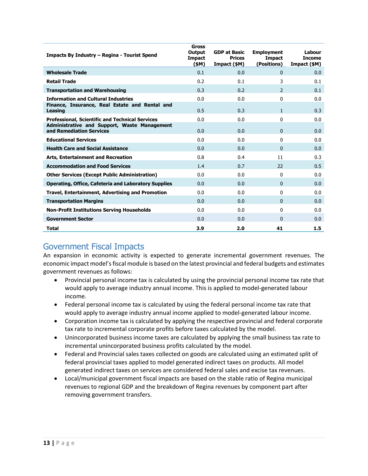| Impacts By Industry - Regina - Tourist Spend                             | Gross<br>Output<br><b>Impact</b><br>(\$M) | <b>GDP at Basic</b><br><b>Prices</b><br>Impact (\$M) | <b>Employment</b><br><b>Impact</b><br>(Positions) | Labour<br><b>Income</b><br>Impact (\$M) |
|--------------------------------------------------------------------------|-------------------------------------------|------------------------------------------------------|---------------------------------------------------|-----------------------------------------|
| <b>Wholesale Trade</b>                                                   | 0.1                                       | 0.0                                                  | $\mathbf{0}$                                      | 0.0                                     |
| <b>Retail Trade</b>                                                      | 0.2                                       | 0.1                                                  | 3                                                 | 0.1                                     |
| <b>Transportation and Warehousing</b>                                    | 0.3                                       | 0.2                                                  | $\mathcal{P}$                                     | 0.1                                     |
| <b>Information and Cultural Industries</b>                               | 0.0                                       | 0.0                                                  | $\mathbf{0}$                                      | 0.0                                     |
| Finance, Insurance, Real Estate and Rental and<br><b>Leasing</b>         | 0.5                                       | 0.3                                                  | $\mathbf{1}$                                      | 0.3                                     |
| <b>Professional, Scientific and Technical Services</b>                   | 0.0                                       | 0.0                                                  | $\mathbf{0}$                                      | 0.0                                     |
| Administrative and Support, Waste Management<br>and Remediation Services | 0.0                                       | 0.0                                                  | $\mathbf{0}$                                      | 0.0                                     |
| <b>Educational Services</b>                                              | 0.0                                       | 0.0                                                  | $\Omega$                                          | 0.0                                     |
| <b>Health Care and Social Assistance</b>                                 | 0.0                                       | 0.0                                                  | $\Omega$                                          | 0.0                                     |
| <b>Arts, Entertainment and Recreation</b>                                | 0.8                                       | 0.4                                                  | 11                                                | 0.3                                     |
| <b>Accommodation and Food Services</b>                                   | 1.4                                       | 0.7                                                  | 22                                                | 0.5                                     |
| <b>Other Services (Except Public Administration)</b>                     | 0.0                                       | 0.0                                                  | $\Omega$                                          | 0.0                                     |
| <b>Operating, Office, Cafeteria and Laboratory Supplies</b>              | 0.0                                       | 0.0                                                  | $\mathbf{0}$                                      | 0.0                                     |
| Travel, Entertainment, Advertising and Promotion                         | 0.0                                       | 0.0                                                  | $\Omega$                                          | 0.0                                     |
| <b>Transportation Margins</b>                                            | 0.0                                       | 0.0                                                  | $\Omega$                                          | 0.0                                     |
| <b>Non-Profit Institutions Serving Households</b>                        | 0.0                                       | 0.0                                                  | $\mathbf{0}$                                      | 0.0                                     |
| <b>Government Sector</b>                                                 | 0.0                                       | 0.0                                                  | $\Omega$                                          | 0.0                                     |
| Total                                                                    | 3.9                                       | 2.0                                                  | 41                                                | 1.5                                     |

## <span id="page-12-0"></span>Government Fiscal Impacts

An expansion in economic activity is expected to generate incremental government revenues. The economic impact model's fiscal module is based on the latest provincial and federal budgets and estimates government revenues as follows:

- Provincial personal income tax is calculated by using the provincial personal income tax rate that would apply to average industry annual income. This is applied to model-generated labour income.
- Federal personal income tax is calculated by using the federal personal income tax rate that would apply to average industry annual income applied to model-generated labour income.
- Corporation income tax is calculated by applying the respective provincial and federal corporate tax rate to incremental corporate profits before taxes calculated by the model.
- Unincorporated business income taxes are calculated by applying the small business tax rate to incremental unincorporated business profits calculated by the model.
- Federal and Provincial sales taxes collected on goods are calculated using an estimated split of federal provincial taxes applied to model generated indirect taxes on products. All model generated indirect taxes on services are considered federal sales and excise tax revenues.
- Local/municipal government fiscal impacts are based on the stable ratio of Regina municipal revenues to regional GDP and the breakdown of Regina revenues by component part after removing government transfers.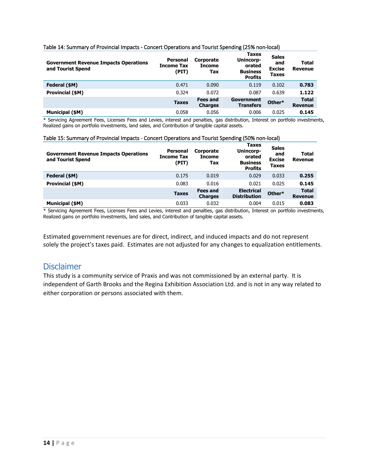#### Table 14: Summary of Provincial Impacts - Concert Operations and Tourist Spending (25% non-local)

| <b>Government Revenue Impacts Operations</b><br>and Tourist Spend | <b>Personal</b><br><b>Income Tax</b><br>(PIT) | <b>Corporate</b><br><b>Income</b><br>Tax | <b>Taxes</b><br>Unincorp-<br>orated<br><b>Business</b><br><b>Profits</b> | <b>Sales</b><br>and<br><b>Excise</b><br><b>Taxes</b> | <b>Total</b><br>Revenue        |
|-------------------------------------------------------------------|-----------------------------------------------|------------------------------------------|--------------------------------------------------------------------------|------------------------------------------------------|--------------------------------|
| Federal (\$M)                                                     | 0.471                                         | 0.090                                    | 0.119                                                                    | 0.102                                                | 0.783                          |
| Provincial (\$M)                                                  | 0.324                                         | 0.072                                    | 0.087                                                                    | 0.639                                                | 1.122                          |
|                                                                   | <b>Taxes</b>                                  | <b>Fees and</b><br><b>Charges</b>        | Government<br><b>Transfers</b>                                           | Other*                                               | <b>Total</b><br><b>Revenue</b> |
| <b>Municipal (\$M)</b>                                            | 0.058                                         | 0.056                                    | 0.006                                                                    | 0.025                                                | 0.145                          |

\* Servicing Agreement Fees, Licenses Fees and Levies, interest and penalties, gas distribution, Interest on portfolio investments, Realized gains on portfolio investments, land sales, and Contribution of tangible capital assets.

#### Table 15: Summary of Provincial Impacts - Concert Operations and Tourist Spending (50% non-local)

| <b>Government Revenue Impacts Operations</b><br>and Tourist Spend | <b>Personal</b><br>Income Tax<br>(PIT) | <b>Corporate</b><br><b>Income</b><br>Tax | <b>Taxes</b><br>Unincorp-<br>orated<br><b>Business</b><br><b>Profits</b> | <b>Sales</b><br>and<br><b>Excise</b><br><b>Taxes</b> | <b>Total</b><br>Revenue        |
|-------------------------------------------------------------------|----------------------------------------|------------------------------------------|--------------------------------------------------------------------------|------------------------------------------------------|--------------------------------|
| Federal (\$M)                                                     | 0.175                                  | 0.019                                    | 0.029                                                                    | 0.033                                                | 0.255                          |
| Provincial (\$M)                                                  | 0.083                                  | 0.016                                    | 0.021                                                                    | 0.025                                                | 0.145                          |
|                                                                   | <b>Taxes</b>                           | <b>Fees and</b><br><b>Charges</b>        | <b>Electrical</b><br><b>Distribution</b>                                 | Other*                                               | <b>Total</b><br><b>Revenue</b> |
| Municipal (\$M)                                                   | 0.033                                  | 0.032                                    | 0.004                                                                    | 0.015                                                | 0.083                          |

\* Servicing Agreement Fees, Licenses Fees and Levies, interest and penalties, gas distribution, Interest on portfolio investments, Realized gains on portfolio investments, land sales, and Contribution of tangible capital assets.

Estimated government revenues are for direct, indirect, and induced impacts and do not represent solely the project's taxes paid. Estimates are not adjusted for any changes to equalization entitlements.

#### <span id="page-13-0"></span>Disclaimer

This study is a community service of Praxis and was not commissioned by an external party. It is independent of Garth Brooks and the Regina Exhibition Association Ltd. and is not in any way related to either corporation or persons associated with them.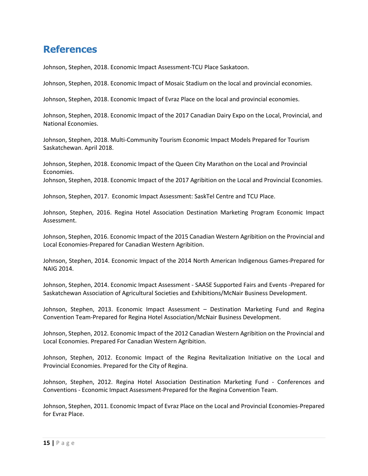## <span id="page-14-0"></span>**References**

Johnson, Stephen, 2018. Economic Impact Assessment-TCU Place Saskatoon.

Johnson, Stephen, 2018. Economic Impact of Mosaic Stadium on the local and provincial economies.

Johnson, Stephen, 2018. Economic Impact of Evraz Place on the local and provincial economies.

Johnson, Stephen, 2018. Economic Impact of the 2017 Canadian Dairy Expo on the Local, Provincial, and National Economies.

Johnson, Stephen, 2018. Multi-Community Tourism Economic Impact Models Prepared for Tourism Saskatchewan. April 2018.

Johnson, Stephen, 2018. Economic Impact of the Queen City Marathon on the Local and Provincial Economies.

Johnson, Stephen, 2018. Economic Impact of the 2017 Agribition on the Local and Provincial Economies.

Johnson, Stephen, 2017. Economic Impact Assessment: SaskTel Centre and TCU Place.

Johnson, Stephen, 2016. Regina Hotel Association Destination Marketing Program Economic Impact Assessment.

Johnson, Stephen, 2016. Economic Impact of the 2015 Canadian Western Agribition on the Provincial and Local Economies-Prepared for Canadian Western Agribition.

Johnson, Stephen, 2014. Economic Impact of the 2014 North American Indigenous Games-Prepared for NAIG 2014.

Johnson, Stephen, 2014. Economic Impact Assessment - SAASE Supported Fairs and Events -Prepared for Saskatchewan Association of Agricultural Societies and Exhibitions/McNair Business Development.

Johnson, Stephen, 2013. Economic Impact Assessment – Destination Marketing Fund and Regina Convention Team-Prepared for Regina Hotel Association/McNair Business Development.

Johnson, Stephen, 2012. Economic Impact of the 2012 Canadian Western Agribition on the Provincial and Local Economies. Prepared For Canadian Western Agribition.

Johnson, Stephen, 2012. Economic Impact of the Regina Revitalization Initiative on the Local and Provincial Economies. Prepared for the City of Regina.

Johnson, Stephen, 2012. Regina Hotel Association Destination Marketing Fund - Conferences and Conventions - Economic Impact Assessment-Prepared for the Regina Convention Team.

Johnson, Stephen, 2011. Economic Impact of Evraz Place on the Local and Provincial Economies-Prepared for Evraz Place.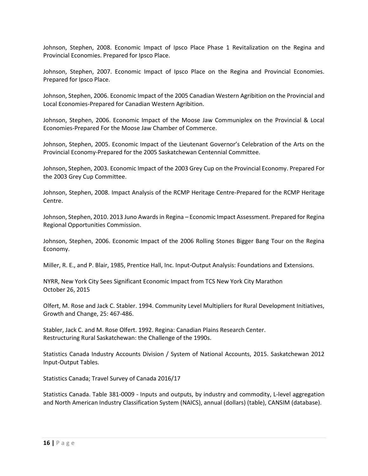Johnson, Stephen, 2008. Economic Impact of Ipsco Place Phase 1 Revitalization on the Regina and Provincial Economies. Prepared for Ipsco Place.

Johnson, Stephen, 2007. Economic Impact of Ipsco Place on the Regina and Provincial Economies. Prepared for Ipsco Place.

Johnson, Stephen, 2006. Economic Impact of the 2005 Canadian Western Agribition on the Provincial and Local Economies-Prepared for Canadian Western Agribition.

Johnson, Stephen, 2006. Economic Impact of the Moose Jaw Communiplex on the Provincial & Local Economies-Prepared For the Moose Jaw Chamber of Commerce.

Johnson, Stephen, 2005. Economic Impact of the Lieutenant Governor's Celebration of the Arts on the Provincial Economy-Prepared for the 2005 Saskatchewan Centennial Committee.

Johnson, Stephen, 2003. Economic Impact of the 2003 Grey Cup on the Provincial Economy. Prepared For the 2003 Grey Cup Committee.

Johnson, Stephen, 2008. Impact Analysis of the RCMP Heritage Centre-Prepared for the RCMP Heritage Centre.

Johnson, Stephen, 2010. 2013 Juno Awards in Regina – Economic Impact Assessment. Prepared for Regina Regional Opportunities Commission.

Johnson, Stephen, 2006. Economic Impact of the 2006 Rolling Stones Bigger Bang Tour on the Regina Economy.

Miller, R. E., and P. Blair, 1985, Prentice Hall, Inc. Input-Output Analysis: Foundations and Extensions.

NYRR, New York City Sees Significant Economic Impact from TCS New York City Marathon October 26, 2015

Olfert, M. Rose and Jack C. Stabler. 1994. Community Level Multipliers for Rural Development Initiatives, Growth and Change, 25: 467-486.

Stabler, Jack C. and M. Rose Olfert. 1992. Regina: Canadian Plains Research Center. Restructuring Rural Saskatchewan: the Challenge of the 1990s.

Statistics Canada Industry Accounts Division / System of National Accounts, 2015. Saskatchewan 2012 Input-Output Tables.

Statistics Canada; Travel Survey of Canada 2016/17

Statistics Canada. Table 381-0009 - Inputs and outputs, by industry and commodity, L-level aggregation and North American Industry Classification System (NAICS), annual (dollars) (table), CANSIM (database).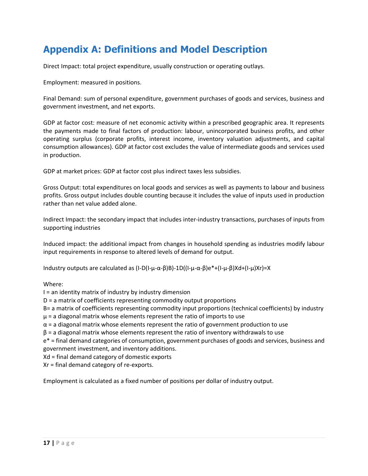# <span id="page-16-0"></span>**Appendix A: Definitions and Model Description**

Direct Impact: total project expenditure, usually construction or operating outlays.

Employment: measured in positions.

Final Demand: sum of personal expenditure, government purchases of goods and services, business and government investment, and net exports.

GDP at factor cost: measure of net economic activity within a prescribed geographic area. It represents the payments made to final factors of production: labour, unincorporated business profits, and other operating surplus (corporate profits, interest income, inventory valuation adjustments, and capital consumption allowances). GDP at factor cost excludes the value of intermediate goods and services used in production.

GDP at market prices: GDP at factor cost plus indirect taxes less subsidies.

Gross Output: total expenditures on local goods and services as well as payments to labour and business profits. Gross output includes double counting because it includes the value of inputs used in production rather than net value added alone.

Indirect Impact: the secondary impact that includes inter-industry transactions, purchases of inputs from supporting industries

Induced impact: the additional impact from changes in household spending as industries modify labour input requirements in response to altered levels of demand for output.

Industry outputs are calculated as (I-D(I-μ-α-β)B)-1D((I-μ-α-β)e\*+(I-μ-β)Xd+(I-μ)Xr)=X

Where:

I = an identity matrix of industry by industry dimension

D = a matrix of coefficients representing commodity output proportions

B= a matrix of coefficients representing commodity input proportions (technical coefficients) by industry  $\mu$  = a diagonal matrix whose elements represent the ratio of imports to use

 $\alpha$  = a diagonal matrix whose elements represent the ratio of government production to use

 $\beta$  = a diagonal matrix whose elements represent the ratio of inventory withdrawals to use

e\* = final demand categories of consumption, government purchases of goods and services, business and government investment, and inventory additions.

Xd = final demand category of domestic exports

Xr = final demand category of re-exports.

Employment is calculated as a fixed number of positions per dollar of industry output.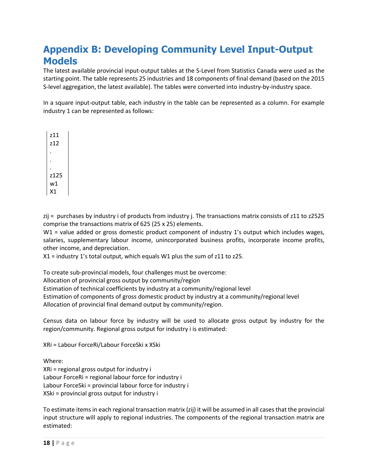# <span id="page-17-0"></span>**Appendix B: Developing Community Level Input-Output Models**

The latest available provincial input-output tables at the S-Level from Statistics Canada were used as the starting point. The table represents 25 industries and 18 components of final demand (based on the 2015 S-level aggregation, the latest available). The tables were converted into industry-by-industry space.

In a square input-output table, each industry in the table can be represented as a column. For example industry 1 can be represented as follows:

z11 z12 . . . z125 w1 X1

zij = purchases by industry i of products from industry j. The transactions matrix consists of z11 to z2525 comprise the transactions matrix of 625 (25 x 25) elements.

W1 = value added or gross domestic product component of industry 1's output which includes wages, salaries, supplementary labour income, unincorporated business profits, incorporate income profits, other income, and depreciation.

X1 = industry 1's total output, which equals W1 plus the sum of z11 to z25.

To create sub-provincial models, four challenges must be overcome:

Allocation of provincial gross output by community/region

Estimation of technical coefficients by industry at a community/regional level

Estimation of components of gross domestic product by industry at a community/regional level

Allocation of provincial final demand output by community/region.

Census data on labour force by industry will be used to allocate gross output by industry for the region/community. Regional gross output for industry i is estimated:

XRi = Labour ForceRi/Labour ForceSki x XSki

Where:

XRi = regional gross output for industry i Labour ForceRi = regional labour force for industry i Labour ForceSki = provincial labour force for industry i XSki = provincial gross output for industry i

To estimate items in each regional transaction matrix (zij) it will be assumed in all cases that the provincial input structure will apply to regional industries. The components of the regional transaction matrix are estimated: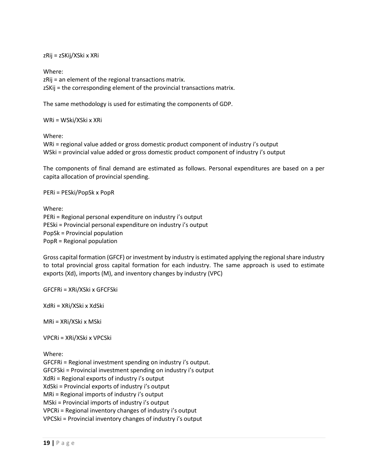zRij = zSKij/XSki x XRi

Where: zRij = an element of the regional transactions matrix. zSKij = the corresponding element of the provincial transactions matrix.

The same methodology is used for estimating the components of GDP.

WRi = WSki/XSki x XRi

Where:

WRi = regional value added or gross domestic product component of industry i's output WSki = provincial value added or gross domestic product component of industry i's output

The components of final demand are estimated as follows. Personal expenditures are based on a per capita allocation of provincial spending.

PERi = PESki/PopSk x PopR

Where:

PERi = Regional personal expenditure on industry i's output PESki = Provincial personal expenditure on industry i's output PopSk = Provincial population PopR = Regional population

Gross capital formation (GFCF) or investment by industry is estimated applying the regional share industry to total provincial gross capital formation for each industry. The same approach is used to estimate exports (Xd), imports (M), and inventory changes by industry (VPC)

GFCFRi = XRi/XSki x GFCFSki

XdRi = XRi/XSki x XdSki

MRi = XRi/XSki x MSki

VPCRi = XRi/XSki x VPCSki

Where:

GFCFRi = Regional investment spending on industry i's output. GFCFSki = Provincial investment spending on industry i's output XdRi = Regional exports of industry i's output XdSki = Provincial exports of industry i's output MRi = Regional imports of industry i's output MSki = Provincial imports of industry i's output VPCRi = Regional inventory changes of industry i's output VPCSki = Provincial inventory changes of industry i's output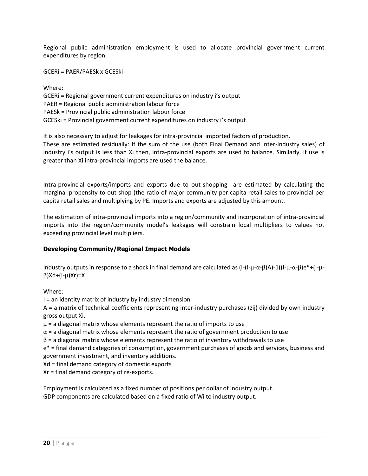Regional public administration employment is used to allocate provincial government current expenditures by region.

GCERi = PAER/PAESk x GCESki

Where: GCERi = Regional government current expenditures on industry i's output PAER = Regional public administration labour force PAESk = Provincial public administration labour force GCESki = Provincial government current expenditures on industry i's output

It is also necessary to adjust for leakages for intra-provincial imported factors of production. These are estimated residually: If the sum of the use (both Final Demand and Inter-industry sales) of industry i's output is less than Xi then, intra-provincial exports are used to balance. Similarly, if use is greater than Xi intra-provincial imports are used the balance.

Intra-provincial exports/imports and exports due to out-shopping are estimated by calculating the marginal propensity to out-shop (the ratio of major community per capita retail sales to provincial per capita retail sales and multiplying by PE. Imports and exports are adjusted by this amount.

The estimation of intra-provincial imports into a region/community and incorporation of intra-provincial imports into the region/community model's leakages will constrain local multipliers to values not exceeding provincial level multipliers.

#### **Developing Community/Regional Impact Models**

Industry outputs in response to a shock in final demand are calculated as  $(I-(I-\mu-\alpha-\beta)A)-1((I-\mu-\alpha-\beta)e^*+(I-\mu-\alpha-\beta)A)$ β)Xd+(I-μ)Xr)=X

Where:

I = an identity matrix of industry by industry dimension

A = a matrix of technical coefficients representing inter-industry purchases (zij) divided by own industry gross output Xi.

 $\mu$  = a diagonal matrix whose elements represent the ratio of imports to use

 $\alpha$  = a diagonal matrix whose elements represent the ratio of government production to use

 $\beta$  = a diagonal matrix whose elements represent the ratio of inventory withdrawals to use

e\* = final demand categories of consumption, government purchases of goods and services, business and government investment, and inventory additions.

Xd = final demand category of domestic exports

Xr = final demand category of re-exports.

Employment is calculated as a fixed number of positions per dollar of industry output. GDP components are calculated based on a fixed ratio of Wi to industry output.